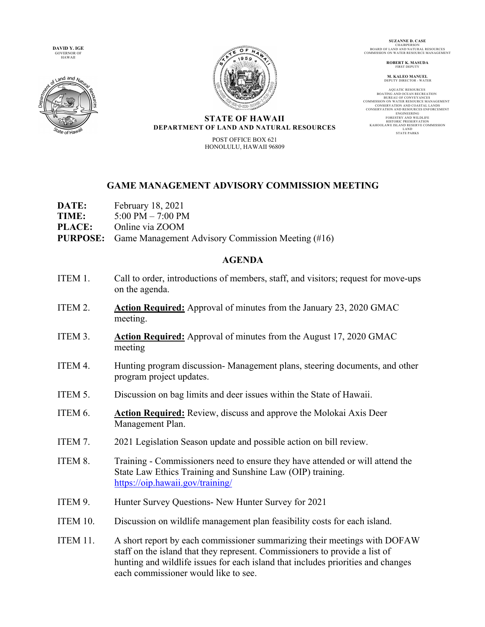**DAVID Y. IGE**  GOVERNOR OF HAWAII





**SUZANNE D. CASE CHAIRPERSO** BOARD OF LAND AND NATURAL RESOURCES COMMISSION ON WATER RESOURCE MANAGEMENT

**ROBERT K. MASUDA** FIRST DEPUTY

**M. KALEO MANUEL** DEPUTY DIRECTOR - WATER

AQUATIC RESOURCES<br>BOATING AND OCEAN RECREATION<br>BUREAU OF CONVEYANCES<br>COMMISSION ON WATER RESOURCE MANAGEMENT CONSERVATION AND RESOURCES ENFORCEMENT<br>
ENGINEERING<br>
ENGINEERING<br>
FORESTRY AND WILDLIFE<br>
FORESTRY AND WILDLIFE<br>
HISTORIC PRESERVATION<br>
HISTORIC LAND<br>
LAND<br>
LAND RESERVE COMMISSION<br>
STATE PARKS<br>
TATE PARKS

## **STATE OF HAWAII DEPARTMENT OF LAND AND NATURAL RESOURCES**

POST OFFICE BOX 621 HONOLULU, HAWAII 96809

## **GAME MANAGEMENT ADVISORY COMMISSION MEETING**

- **DATE:** February 18, 2021
- **TIME:** 5:00 PM 7:00 PM
- **PLACE:** Online via ZOOM
- **PURPOSE:** Game Management Advisory Commission Meeting (#16)

## **AGENDA**

- ITEM 1. Call to order, introductions of members, staff, and visitors; request for move-ups on the agenda.
- ITEM 2. **Action Required:** Approval of minutes from the January 23, 2020 GMAC meeting.
- ITEM 3. **Action Required:** Approval of minutes from the August 17, 2020 GMAC meeting
- ITEM 4. Hunting program discussion- Management plans, steering documents, and other program project updates.
- ITEM 5. Discussion on bag limits and deer issues within the State of Hawaii.
- ITEM 6. **Action Required:** Review, discuss and approve the Molokai Axis Deer Management Plan.
- ITEM 7. 2021 Legislation Season update and possible action on bill review.
- ITEM 8. Training Commissioners need to ensure they have attended or will attend the State Law Ethics Training and Sunshine Law (OIP) training. https://oip.hawaii.gov/training/
- ITEM 9. Hunter Survey Questions- New Hunter Survey for 2021
- ITEM 10. Discussion on wildlife management plan feasibility costs for each island.
- ITEM 11. A short report by each commissioner summarizing their meetings with DOFAW staff on the island that they represent. Commissioners to provide a list of hunting and wildlife issues for each island that includes priorities and changes each commissioner would like to see.